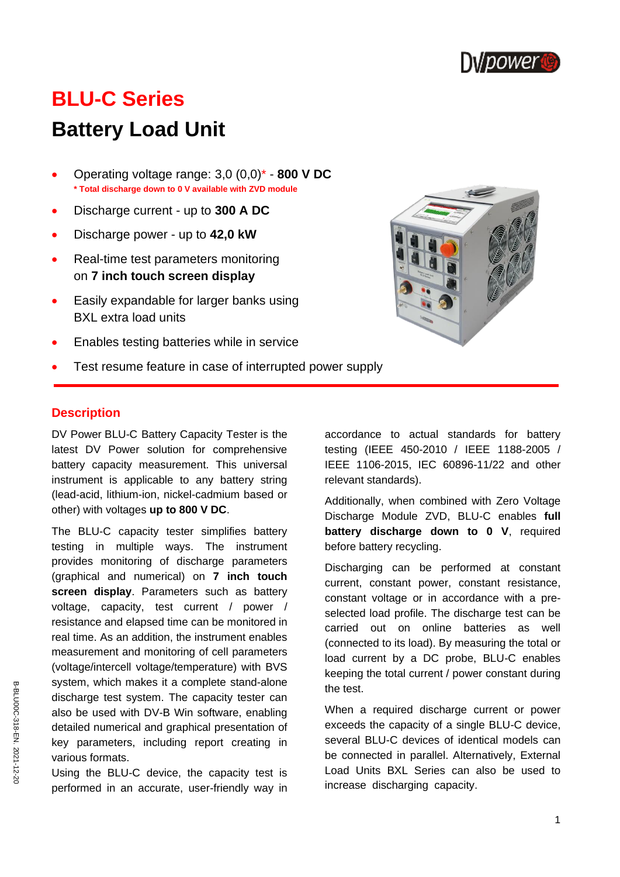

# **BLU-C Series**

# **Battery Load Unit**

- Operating voltage range: 3,0 (0,0)\* **800 V DC \* Total discharge down to 0 V available with ZVD module**
- Discharge current up to **300 A DC**
- Discharge power up to **42,0 kW**
- Real-time test parameters monitoring on **7 inch touch screen display**
- Easily expandable for larger banks using BXL extra load units
- Enables testing batteries while in service
- Test resume feature in case of interrupted power supply



#### **Description**

DV Power BLU-C Battery Capacity Tester is the latest DV Power solution for comprehensive battery capacity measurement. This universal instrument is applicable to any battery string (lead-acid, lithium-ion, nickel-cadmium based or other) with voltages **up to 800 V DC**.

The BLU-C capacity tester simplifies battery testing in multiple ways. The instrument provides monitoring of discharge parameters (graphical and numerical) on **7 inch touch screen display**. Parameters such as battery voltage, capacity, test current / power / resistance and elapsed time can be monitored in real time. As an addition, the instrument enables measurement and monitoring of cell parameters (voltage/intercell voltage/temperature) with BVS system, which makes it a complete stand-alone discharge test system. The capacity tester can also be used with DV-B Win software, enabling detailed numerical and graphical presentation of key parameters, including report creating in various formats.

Using the BLU-C device, the capacity test is performed in an accurate, user-friendly way in accordance to actual standards for battery testing (IEEE 450-2010 / IEEE 1188-2005 / IEEE 1106-2015, IEC 60896-11/22 and other relevant standards).

Additionally, when combined with Zero Voltage Discharge Module ZVD, BLU-C enables **full battery discharge down to 0 V**, required before battery recycling.

Discharging can be performed at constant current, constant power, constant resistance, constant voltage or in accordance with a preselected load profile. The discharge test can be carried out on online batteries as well (connected to its load). By measuring the total or load current by a DC probe, BLU-C enables keeping the total current / power constant during the test.

When a required discharge current or power exceeds the capacity of a single BLU-C device, several BLU-C devices of identical models can be connected in parallel. Alternatively, External Load Units BXL Series can also be used to increase discharging capacity.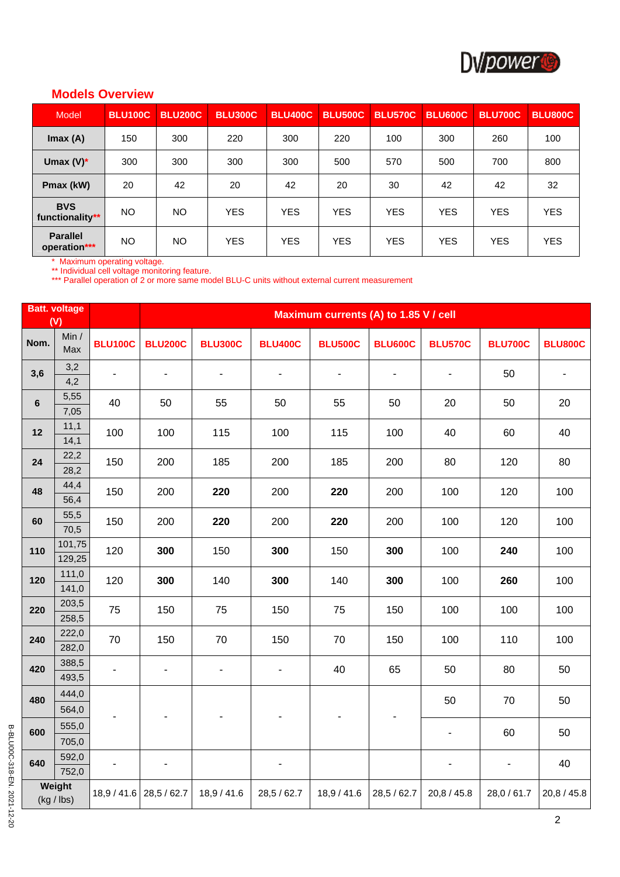

## **Models Overview**

| Model                           | <b>BLU100C</b> | <b>BLU200C</b> | <b>BLU300C</b> | <b>BLU400C</b> | <b>BLU500C</b> | <b>BLU570C</b> | <b>BLU600C</b> | <b>BLU700C</b> | <b>BLU800C</b> |
|---------------------------------|----------------|----------------|----------------|----------------|----------------|----------------|----------------|----------------|----------------|
| Imax(A)                         | 150            | 300            | 220            | 300            | 220            | 100            | 300            | 260            | 100            |
| Umax $(V)^*$                    | 300            | 300            | 300            | 300            | 500            | 570            | 500            | 700            | 800            |
| Pmax (kW)                       | 20             | 42             | 20             | 42             | 20             | 30             | 42             | 42             | 32             |
| <b>BVS</b><br>functionality**   | <b>NO</b>      | <b>NO</b>      | <b>YES</b>     | <b>YES</b>     | <b>YES</b>     | <b>YES</b>     | <b>YES</b>     | <b>YES</b>     | <b>YES</b>     |
| <b>Parallel</b><br>operation*** | NO.            | <b>NO</b>      | <b>YES</b>     | <b>YES</b>     | <b>YES</b>     | <b>YES</b>     | <b>YES</b>     | <b>YES</b>     | <b>YES</b>     |

\* Maximum operating voltage.

\*\* Individual cell voltage monitoring feature.

\*\*\* Parallel operation of 2 or more same model BLU-C units without external current measurement

|         | <b>Batt. voltage</b><br>(V) |                |                          | Maximum currents (A) to 1.85 V / cell |                          |                          |                          |                          |                              |                          |
|---------|-----------------------------|----------------|--------------------------|---------------------------------------|--------------------------|--------------------------|--------------------------|--------------------------|------------------------------|--------------------------|
| Nom.    | Min $/$<br>Max              | <b>BLU100C</b> | <b>BLU200C</b>           | <b>BLU300C</b>                        | <b>BLU400C</b>           | <b>BLU500C</b>           | <b>BLU600C</b>           | <b>BLU570C</b>           | <b>BLU700C</b>               | <b>BLU800C</b>           |
| 3,6     | 3,2<br>4,2                  |                | $\overline{\phantom{a}}$ | $\overline{\phantom{a}}$              | $\overline{\phantom{a}}$ | $\overline{\phantom{a}}$ | $\overline{\phantom{a}}$ | $\blacksquare$           | 50                           | $\overline{\phantom{0}}$ |
| $\bf 6$ | 5,55<br>7,05                | 40             | 50                       | 55                                    | 50                       | 55                       | 50                       | 20                       | 50                           | 20                       |
| 12      | 11,1<br>14,1                | 100            | 100                      | 115                                   | 100                      | 115                      | 100                      | 40                       | 60                           | 40                       |
| 24      | 22,2<br>28,2                | 150            | 200                      | 185                                   | 200                      | 185                      | 200                      | 80                       | 120                          | 80                       |
| 48      | 44,4<br>56,4                | 150            | 200                      | 220                                   | 200                      | 220                      | 200                      | 100                      | 120                          | 100                      |
| 60      | 55,5<br>70,5                | 150            | 200                      | 220                                   | 200                      | 220                      | 200                      | 100                      | 120                          | 100                      |
| 110     | 101,75<br>129,25            | 120            | 300                      | 150                                   | 300                      | 150                      | 300                      | 100                      | 240                          | 100                      |
| 120     | 111,0<br>141,0              | 120            | 300                      | 140                                   | 300                      | 140                      | 300                      | 100                      | 260                          | 100                      |
| 220     | 203,5<br>258,5              | 75             | 150                      | 75                                    | 150                      | 75                       | 150                      | 100                      | 100                          | 100                      |
| 240     | 222,0<br>282,0              | 70             | 150                      | 70                                    | 150                      | 70                       | 150                      | 100                      | 110                          | 100                      |
| 420     | 388,5<br>493,5              |                | $\overline{\phantom{a}}$ | $\overline{\phantom{a}}$              | $\overline{\phantom{a}}$ | 40                       | 65                       | 50                       | 80                           | 50                       |
| 480     | 444,0<br>564,0              |                |                          |                                       |                          |                          |                          | 50                       | 70                           | 50                       |
| 600     | 555,0<br>705,0              |                |                          |                                       |                          | $\overline{\phantom{a}}$ | $\blacksquare$           | $\overline{\phantom{a}}$ | 60                           | 50                       |
| 640     | 592,0<br>752,0              |                |                          |                                       |                          |                          |                          | ٠                        | $\qquad \qquad \blacksquare$ | 40                       |
|         | Weight<br>$(kg /$ lbs)      |                | 18,9 / 41.6 28,5 / 62.7  | 18,9 / 41.6                           | 28,5 / 62.7              | 18,9 / 41.6              | 28,5 / 62.7              | 20,8/45.8                | 28,0 / 61.7                  | 20,8 / 45.8              |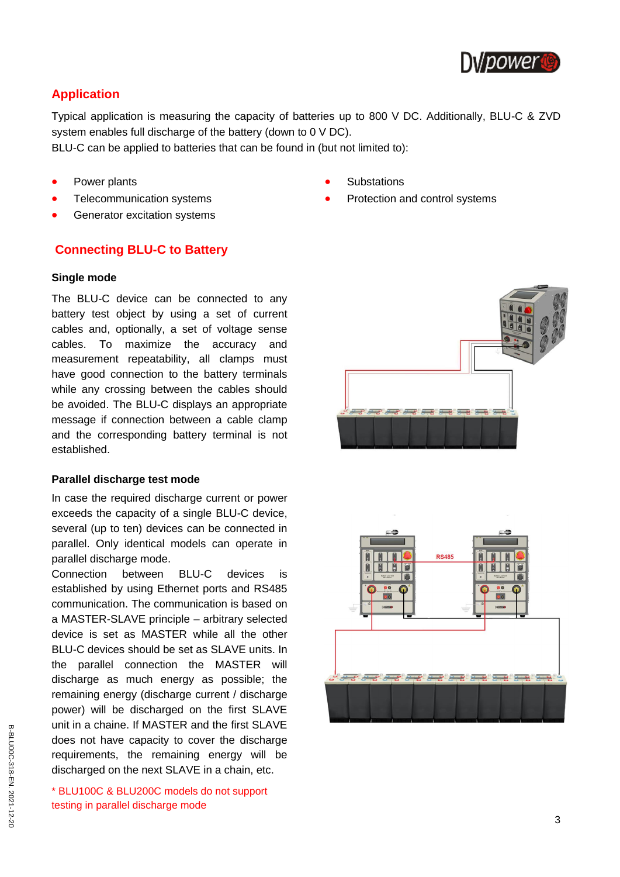

## **Application**

Typical application is measuring the capacity of batteries up to 800 V DC. Additionally, BLU-C & ZVD system enables full discharge of the battery (down to 0 V DC).

BLU-C can be applied to batteries that can be found in (but not limited to):

- Power plants
- Telecommunication systems
- Generator excitation systems

## **Connecting BLU-C to Battery**

#### **Single mode**

The BLU-C device can be connected to any battery test object by using a set of current cables and, optionally, a set of voltage sense cables. To maximize the accuracy and measurement repeatability, all clamps must have good connection to the battery terminals while any crossing between the cables should be avoided. The BLU-C displays an appropriate message if connection between a cable clamp and the corresponding battery terminal is not established.

#### **Parallel discharge test mode**

In case the required discharge current or power exceeds the capacity of a single BLU-C device, several (up to ten) devices can be connected in parallel. Only identical models can operate in parallel discharge mode.

Connection between BLU-C devices is established by using Ethernet ports and RS485 communication. The communication is based on a MASTER-SLAVE principle – arbitrary selected device is set as MASTER while all the other BLU-C devices should be set as SLAVE units. In the parallel connection the MASTER will discharge as much energy as possible; the remaining energy (discharge current / discharge power) will be discharged on the first SLAVE unit in a chaine. If MASTER and the first SLAVE does not have capacity to cover the discharge requirements, the remaining energy will be discharged on the next SLAVE in a chain, etc.

\* BLU100C & BLU200C models do not support testing in parallel discharge mode

- **Substations**
- Protection and control systems



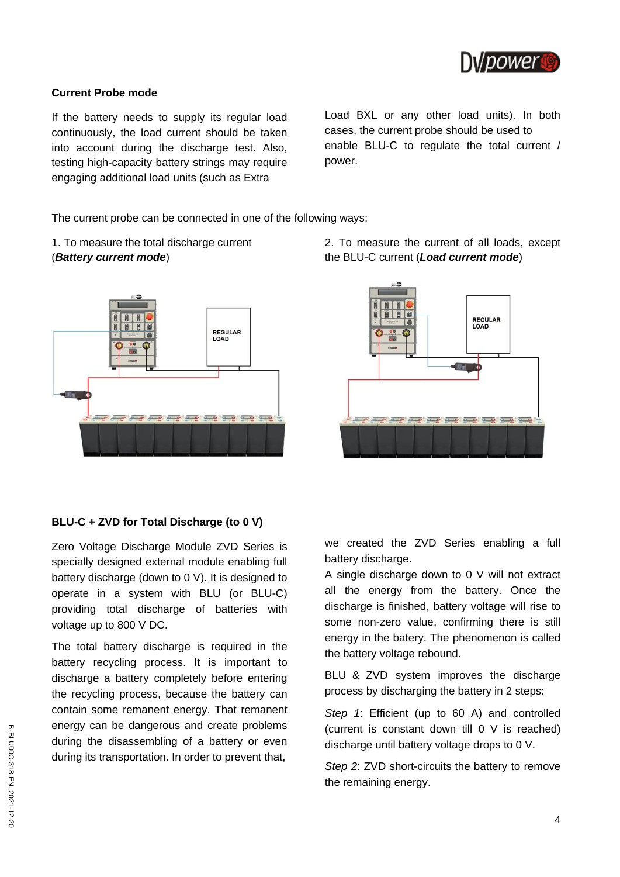

#### **Current Probe mode**

If the battery needs to supply its regular load continuously, the load current should be taken into account during the discharge test. Also, testing high-capacity battery strings may require engaging additional load units (such as Extra

Load BXL or any other load units). In both cases, the current probe should be used to enable BLU-C to regulate the total current / power.

The current probe can be connected in one of the following ways:

1. To measure the total discharge current (*Battery current mode*)



## **BLU-C + ZVD for Total Discharge (to 0 V)**

Zero Voltage Discharge Module ZVD Series is specially designed external module enabling full battery discharge (down to 0 V). It is designed to operate in a system with BLU (or BLU-C) providing total discharge of batteries with voltage up to 800 V DC.

The total battery discharge is required in the battery recycling process. It is important to discharge a battery completely before entering the recycling process, because the battery can contain some remanent energy. That remanent energy can be dangerous and create problems during the disassembling of a battery or even during its transportation. In order to prevent that,

2. To measure the current of all loads, except the BLU-C current (*Load current mode*)



we created the ZVD Series enabling a full battery discharge.

A single discharge down to 0 V will not extract all the energy from the battery. Once the discharge is finished, battery voltage will rise to some non-zero value, confirming there is still energy in the batery. The phenomenon is called the battery voltage rebound.

BLU & ZVD system improves the discharge process by discharging the battery in 2 steps:

*Step 1*: Efficient (up to 60 A) and controlled (current is constant down till 0 V is reached) discharge until battery voltage drops to 0 V.

*Step 2*: ZVD short-circuits the battery to remove the remaining energy.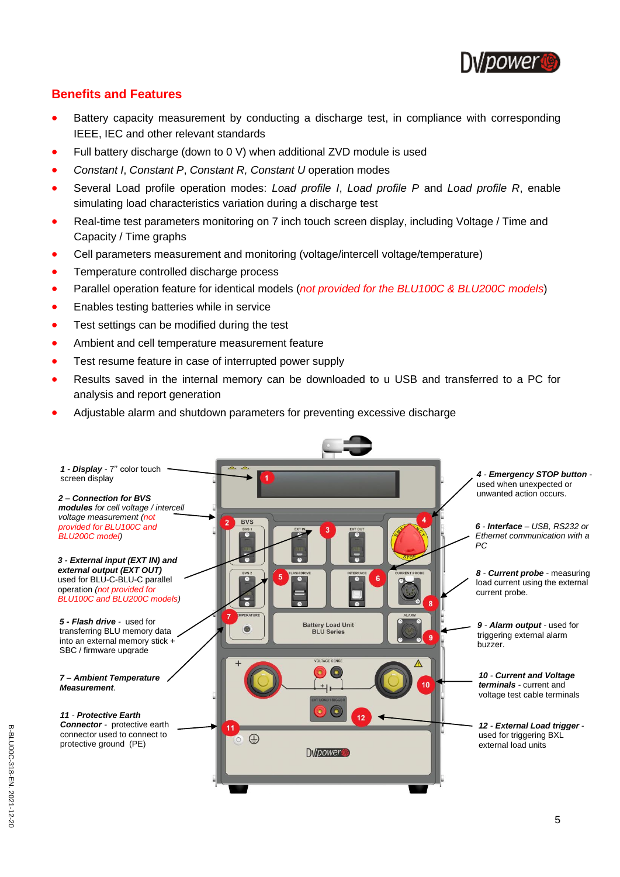

## **Benefits and Features**

- Battery capacity measurement by conducting a discharge test, in compliance with corresponding IEEE, IEC and other relevant standards
- Full battery discharge (down to 0 V) when additional ZVD module is used
- *Constant I*, *Constant P*, *Constant R, Constant U* operation modes
- Several Load profile operation modes: *Load profile I*, *Load profile P* and *Load profile R*, enable simulating load characteristics variation during a discharge test
- Real-time test parameters monitoring on 7 inch touch screen display, including Voltage / Time and Capacity / Time graphs
- Cell parameters measurement and monitoring (voltage/intercell voltage/temperature)
- Temperature controlled discharge process
- Parallel operation feature for identical models (*not provided for the BLU100C & BLU200C models*)
- Enables testing batteries while in service
- Test settings can be modified during the test
- Ambient and cell temperature measurement feature
- Test resume feature in case of interrupted power supply
- Results saved in the internal memory can be downloaded to u USB and transferred to a PC for analysis and report generation
- Adjustable alarm and shutdown parameters for preventing excessive discharge

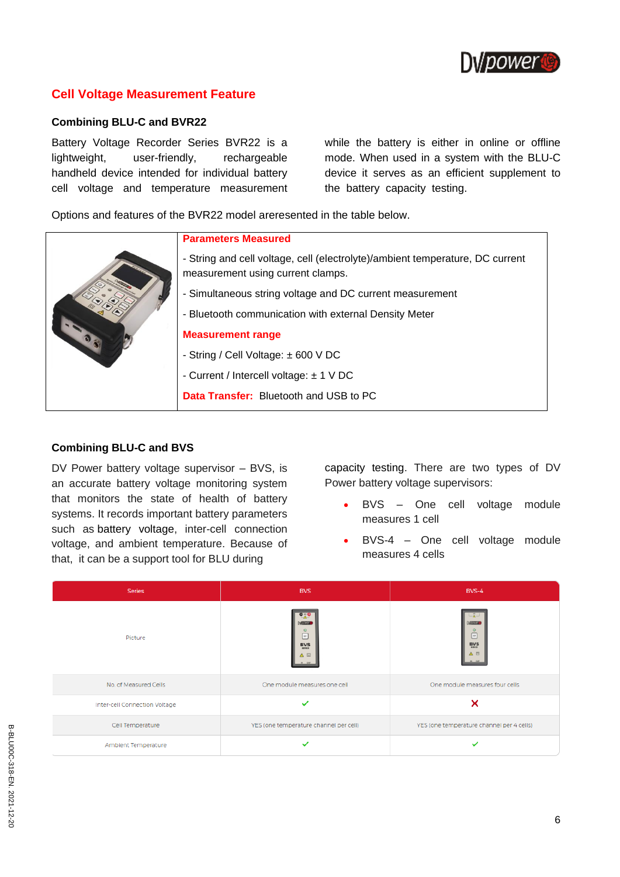

## **Cell Voltage Measurement Feature**

#### **Combining BLU-C and BVR22**

Battery Voltage Recorder Series BVR22 is a lightweight, user-friendly, rechargeable handheld device intended for individual battery cell voltage and temperature measurement while the battery is either in online or offline mode. When used in a system with the BLU-C device it serves as an efficient supplement to the battery capacity testing.

Options and features of the BVR22 model areresented in the table below.

| - String and cell voltage, cell (electrolyte)/ambient temperature, DC current<br>measurement using current clamps. |
|--------------------------------------------------------------------------------------------------------------------|
|                                                                                                                    |
| - Simultaneous string voltage and DC current measurement                                                           |
| - Bluetooth communication with external Density Meter                                                              |
| <b>Measurement range</b>                                                                                           |
| - String / Cell Voltage: $\pm$ 600 V DC                                                                            |
| - Current / Intercell voltage: $\pm$ 1 V DC                                                                        |
| <b>Data Transfer:</b> Bluetooth and USB to PC                                                                      |

#### **Combining BLU-C and BVS**

DV Power battery voltage supervisor – BVS, is an accurate battery voltage monitoring system that monitors the state of health of battery systems. It records important battery parameters such as battery voltage, inter-cell connection voltage, and ambient temperature. Because of that, it can be a support tool for BLU during

capacity testing. There are two types of DV Power battery voltage supervisors:

- BVS One cell voltage module measures 1 cell
- BVS-4 One cell voltage module measures 4 cells

| <b>Series</b>                 | <b>BVS</b>                                                                                                    | $BVS-4$                                                          |
|-------------------------------|---------------------------------------------------------------------------------------------------------------|------------------------------------------------------------------|
| Picture                       | $\bullet$ $\circ$<br><b>Delivery</b><br>$\circ$<br>$\boxed{^w}$<br>$\mathbf{BVS}\xspace_{\text{RMEI}}$<br>△ 回 | <b>Dulklassing</b><br>$\circ$<br>$\bar{\mathbb{C}}$<br>BVS<br>△回 |
| No. of Measured Cells         | One module measures one cell                                                                                  | One module measures four cells                                   |
| Inter-cell Connection Voltage | $\checkmark$                                                                                                  | ×                                                                |
| Cell Temperature              | YES (one temperature channel per cell)                                                                        | YES (one temperature channel per 4 cells)                        |
| Ambient Temperature           | ✓                                                                                                             | $\checkmark$                                                     |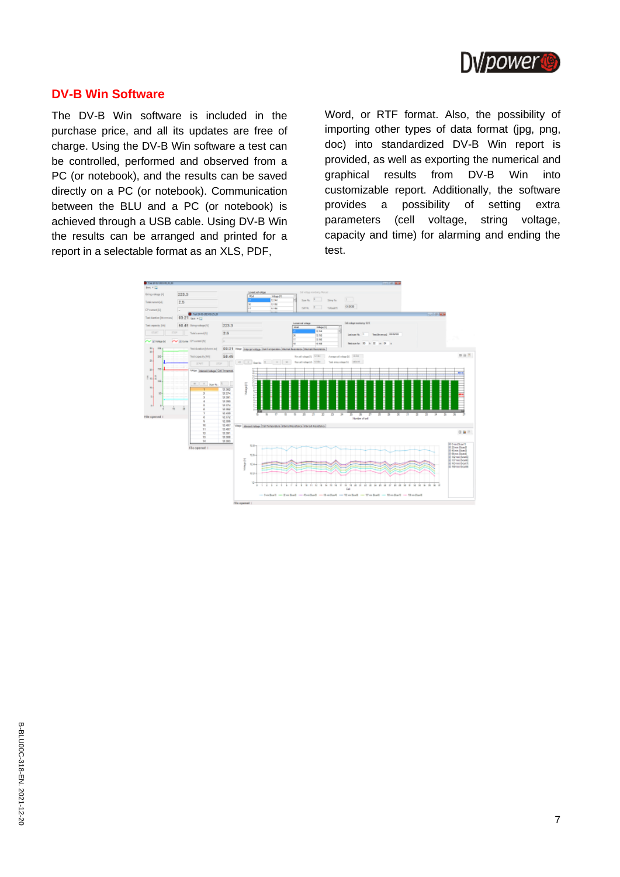

#### **DV-B Win Software**

The DV-B Win software is included in the purchase price, and all its updates are free of charge. Using the DV-B Win software a test can be controlled, performed and observed from a PC (or notebook), and the results can be saved directly on a PC (or notebook). Communication between the BLU and a PC (or notebook) is achieved through a USB cable. Using DV-B Win the results can be arranged and printed for a report in a selectable format as an XLS, PDF,

Word, or RTF format. Also, the possibility of importing other types of data format (jpg, png, doc) into standardized DV-B Win report is provided, as well as exporting the numerical and graphical results from DV-B Win into customizable report. Additionally, the software provides a possibility of setting extra parameters (cell voltage, string voltage, capacity and time) for alarming and ending the test.

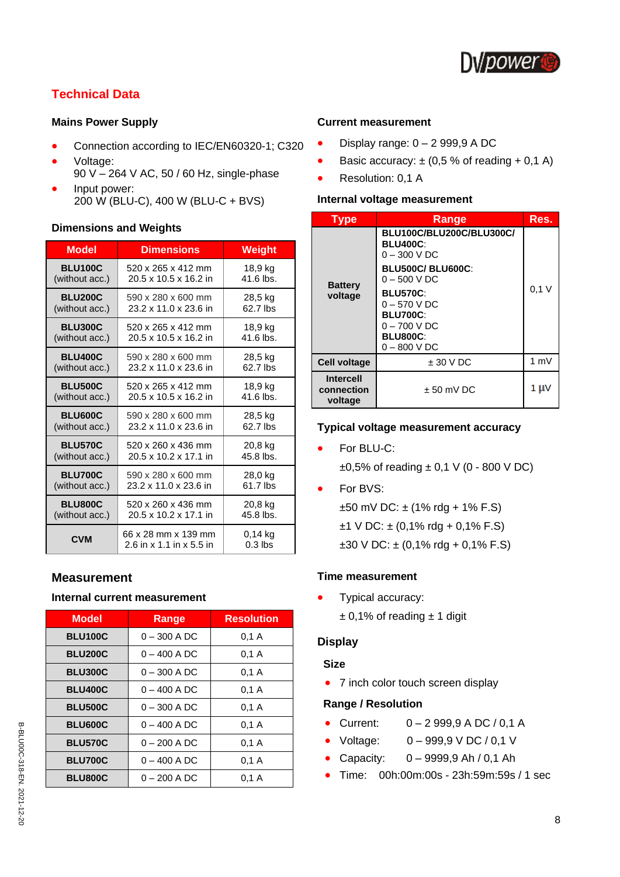

## **Technical Data**

#### **Mains Power Supply**

- Connection according to IEC/EN60320-1; C320
- Voltage: 90 V – 264 V AC, 50 / 60 Hz, single-phase
- Input power: 200 W (BLU-C), 400 W (BLU-C + BVS)

#### **Dimensions and Weights**

| <b>Model</b>   | <b>Dimensions</b>                               | <b>Weight</b>          |
|----------------|-------------------------------------------------|------------------------|
| <b>BLU100C</b> | 520 x 265 x 412 mm                              | 18,9 kg                |
| (without acc.) | 20.5 x 10.5 x 16.2 in                           | 41.6 lbs.              |
| <b>BLU200C</b> | 590 x 280 x 600 mm                              | 28,5 kg                |
| (without acc.) | 23.2 x 11.0 x 23.6 in                           | 62.7 lbs               |
| <b>BLU300C</b> | 520 x 265 x 412 mm                              | 18,9 kg                |
| (without acc.) | 20.5 x 10.5 x 16.2 in                           | $41.6$ lbs.            |
| <b>BLU400C</b> | 590 x 280 x 600 mm                              | 28,5 kg                |
| (without acc.) | 23.2 x 11.0 x 23.6 in                           | 62.7 lbs               |
| <b>BLU500C</b> | 520 x 265 x 412 mm                              | 18,9 kg                |
| (without acc.) | 20.5 x 10.5 x 16.2 in                           | $41.6$ lbs.            |
| BLU600C        | 590 x 280 x 600 mm                              | 28,5 kg                |
| (without acc.) | 23.2 x 11.0 x 23.6 in                           | 62.7 lbs               |
| <b>BLU570C</b> | 520 x 260 x 436 mm                              | 20,8 kg                |
| (without acc.) | 20.5 x 10.2 x 17.1 in                           | 45.8 lbs.              |
| <b>BLU700C</b> | 590 x 280 x 600 mm                              | 28,0 kg                |
| (without acc.) | 23.2 x 11.0 x 23.6 in                           | 61.7 lbs               |
| BLU800C        | 520 x 260 x 436 mm                              | 20,8 kg                |
| (without acc.) | 20.5 x 10.2 x 17.1 in                           | 45.8 lbs.              |
| <b>CVM</b>     | 66 x 28 mm x 139 mm<br>2.6 in x 1.1 in x 5.5 in | $0.14$ ka<br>$0.3$ lbs |

## **Measurement**

#### **Internal current measurement**

| <b>Model</b>   | Range          | <b>Resolution</b> |
|----------------|----------------|-------------------|
| <b>BLU100C</b> | $0 - 300$ A DC | 0.1A              |
| <b>BLU200C</b> | $0 - 400$ A DC | 0.1A              |
| <b>BLU300C</b> | $0 - 300$ A DC | 0,1 A             |
| <b>BLU400C</b> | $0 - 400$ A DC | 0.1A              |
| <b>BLU500C</b> | $0 - 300$ A DC | 0.1 A             |
| <b>BLU600C</b> | $0 - 400$ A DC | 0.1A              |
| <b>BLU570C</b> | 0 – 200 A DC   | 0.1 A             |
| <b>BLU700C</b> | $0 - 400$ A DC | 0.1A              |
| <b>BLU800C</b> | 0 – 200 A DC   | 0.1A              |

#### **Current measurement**

- Display range:  $0 2999.9$  A DC
- Basic accuracy:  $\pm$  (0,5 % of reading + 0,1 A)
- Resolution: 0,1 A

#### **Internal voltage measurement**

| <b>Type</b>                               | Range                                                                                                                                                                                                                  | Res.           |
|-------------------------------------------|------------------------------------------------------------------------------------------------------------------------------------------------------------------------------------------------------------------------|----------------|
| <b>Battery</b><br>voltage                 | BLU100C/BLU200C/BLU300C/<br><b>BLU400C:</b><br>$0 - 300$ V DC<br><b>BLU500C/BLU600C:</b><br>$0 - 500 VDC$<br><b>BLU570C:</b><br>$0 - 570$ V DC<br><b>BLU700C:</b><br>$0 - 700 VDC$<br><b>BLU800C:</b><br>$0 - 800 VDC$ | 0.1V           |
| <b>Cell voltage</b>                       | $± 30 V$ DC                                                                                                                                                                                                            | $1 \text{ mV}$ |
| <b>Intercell</b><br>connection<br>voltage | $± 50$ mV DC                                                                                                                                                                                                           | 1 µ v          |

#### **Typical voltage measurement accuracy**

- For BLU-C:  $\pm 0.5$ % of reading  $\pm 0.1$  V (0 - 800 V DC)
- For BVS:  $±50$  mV DC:  $±$  (1% rdg + 1% F.S)  $±1$  V DC:  $±$  (0,1% rdg + 0,1% F.S)  $\pm 30$  V DC:  $\pm$  (0,1% rdg + 0,1% F.S)

#### **Time measurement**

• Typical accuracy:  $± 0,1%$  of reading  $± 1$  digit

#### **Display**

#### **Size**

• 7 inch color touch screen display

#### **Range / Resolution**

- Current:  $0 2999.9$  A DC / 0.1 A
- Voltage: 0 999,9 V DC / 0,1 V
- Capacity:  $0 9999,9$  Ah / 0,1 Ah
- Time: 00h:00m:00s 23h:59m:59s / 1 sec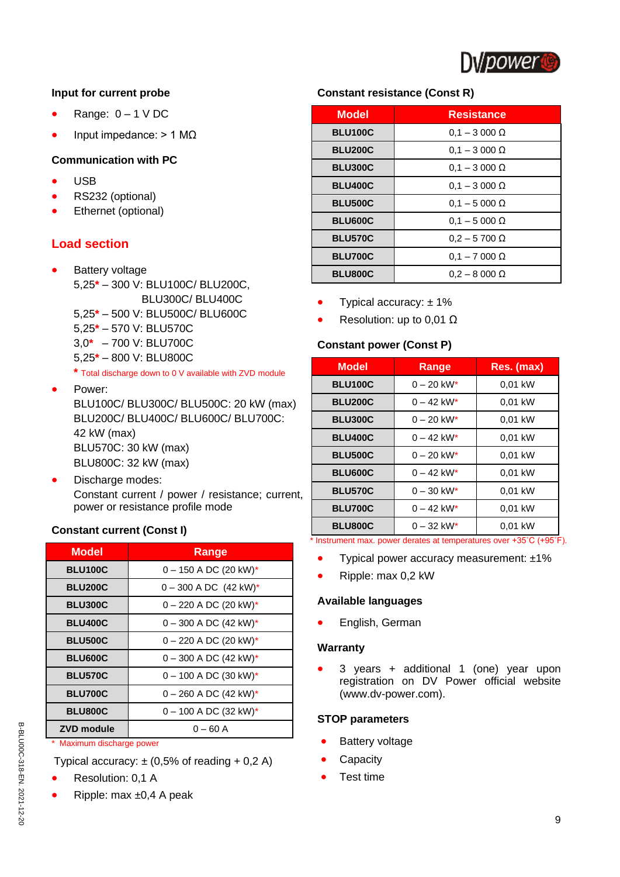

#### **Input for current probe**

- Range:  $0 1$  V DC
- Input impedance:  $> 1$  MΩ

### **Communication with PC**

- USB
- RS232 (optional)
- Ethernet (optional)

## **Load section**

- **Battery voltage** 5,25**\*** – 300 V: BLU100C/ BLU200C, BLU300C/ BLU400C 5,25**\*** – 500 V: BLU500C/ BLU600C 5,25**\*** – 570 V: BLU570C
	- 3,0**\*** 700 V: BLU700C 5,25**\*** – 800 V: BLU800C

**\*** Total discharge down to 0 V available with ZVD module

- Power: BLU100C/ BLU300C/ BLU500C: 20 kW (max) BLU200C/ BLU400C/ BLU600C/ BLU700C: 42 kW (max) BLU570C: 30 kW (max) BLU800C: 32 kW (max)
- Discharge modes: Constant current / power / resistance; current, power or resistance profile mode

## **Constant current (Const I)**

| <b>Model</b>      | Range                                 |
|-------------------|---------------------------------------|
| <b>BLU100C</b>    | $0 - 150$ A DC (20 kW)*               |
| <b>BLU200C</b>    | $0 - 300$ A DC $(42$ kW) <sup>*</sup> |
| <b>BLU300C</b>    | $0 - 220$ A DC (20 kW)*               |
| <b>BLU400C</b>    | $0 - 300$ A DC (42 kW)*               |
| <b>BLU500C</b>    | $0 - 220$ A DC (20 kW)*               |
| <b>BLU600C</b>    | $0 - 300$ A DC (42 kW)*               |
| <b>BLU570C</b>    | $0 - 100$ A DC (30 kW)*               |
| <b>BLU700C</b>    | $0 - 260$ A DC (42 kW)*               |
| <b>BLU800C</b>    | $0 - 100$ A DC (32 kW)*               |
| <b>ZVD module</b> | $0 - 60$ A                            |

Maximum discharge power

Typical accuracy:  $\pm$  (0,5% of reading + 0,2 A)

- Resolution: 0,1 A
- Ripple: max ±0,4 A peak

## **Constant resistance (Const R)**

| <b>Model</b>   | <b>Resistance</b>   |
|----------------|---------------------|
| <b>BLU100C</b> | $0.1 - 3000 \Omega$ |
| <b>BLU200C</b> | $0.1 - 3000 \Omega$ |
| <b>BLU300C</b> | $0.1 - 3000 \Omega$ |
| <b>BLU400C</b> | $0.1 - 3000 \Omega$ |
| <b>BLU500C</b> | $0.1 - 5000 \Omega$ |
| <b>BLU600C</b> | $0.1 - 5000 \Omega$ |
| <b>BLU570C</b> | $0.2 - 5700 \Omega$ |
| <b>BLU700C</b> | $0.1 - 7000 \Omega$ |
| <b>BLU800C</b> | $0.2 - 8000 \Omega$ |

- Typical accuracy:  $± 1\%$
- Resolution: up to 0,01  $\Omega$

## **Constant power (Const P)**

| <b>Model</b>        | Range                    | Res. (max)            |
|---------------------|--------------------------|-----------------------|
| <b>BLU100C</b>      | $0 - 20$ kW*             | 0,01 kW               |
| <b>BLU200C</b>      | $0 - 42$ kW <sup>*</sup> | 0,01 kW               |
| <b>BLU300C</b>      | $0 - 20$ kW*             | 0,01 kW               |
| <b>BLU400C</b>      | $0 - 42$ kW*             | 0,01 kW               |
| <b>BLU500C</b>      | $0 - 20$ kW <sup>*</sup> | 0,01 kW               |
| <b>BLU600C</b>      | $0 - 42$ kW <sup>*</sup> | 0,01 kW               |
| <b>BLU570C</b>      | $0 - 30$ kW <sup>*</sup> | 0,01 kW               |
| <b>BLU700C</b>      | $0 - 42$ kW <sup>*</sup> | 0,01 kW               |
| <b>BLU800C</b><br>. | $0 - 32$ kW <sup>*</sup> | 0,01 kW<br>0.00001000 |

Instrument max. power derates at temperatures over +35°C (+95°F).

- Typical power accuracy measurement: ±1%
- Ripple: max 0,2 kW

#### **Available languages**

• English, German

#### **Warranty**

• 3 years + additional 1 (one) year upon registration on DV Power official website [\(www.dv-power.com\)](http://www.dv-power.com/).

#### **STOP parameters**

- **Battery voltage**
- **Capacity**
- Test time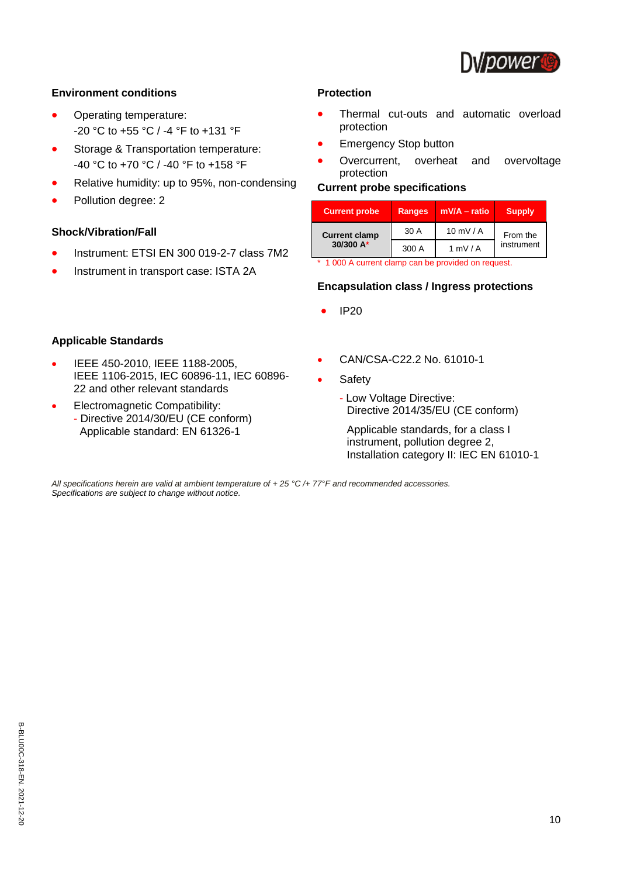

#### **Environment conditions**

- Operating temperature: -20 °C to +55 °C / -4 °F to +131 °F
- Storage & Transportation temperature: -40 °C to +70 °C / -40 °F to +158 °F
- Relative humidity: up to 95%, non-condensing
- Pollution degree: 2

#### **Shock/Vibration/Fall**

**Applicable Standards**

- Instrument: ETSI EN 300 019-2-7 class 7M2
- Instrument in transport case: ISTA 2A

• IEEE 450-2010, IEEE 1188-2005,

22 and other relevant standards • Electromagnetic Compatibility: - Directive 2014/30/EU (CE conform) \_Applicable standard: EN 61326-1

IEEE 1106-2015, IEC 60896-11, IEC 60896-

#### **Protection**

- Thermal cut-outs and automatic overload protection
- **Emergency Stop button**
- Overcurrent, overheat and overvoltage protection

### **Current probe specifications**

| <b>Current probe</b> | <b>Ranges</b> | mV/A - ratio            | <b>Supply</b> |
|----------------------|---------------|-------------------------|---------------|
| <b>Current clamp</b> | 30 A          | $10$ mV / A<br>From the |               |
| 30/300 A*            | 300 A         | $1 \text{ mV}$ / A      | instrument    |

\* 1 000 A current clamp can be provided on request.

#### **Encapsulation class / Ingress protections**

- IP20
- CAN/CSA-C22.2 No. 61010-1
- **Safety** 
	- Low Voltage Directive: Directive 2014/35/EU (CE conform)

Applicable standards, for a class I instrument, pollution degree 2, Installation category II: IEC EN 61010-1

*All specifications herein are valid at ambient temperature of + 25 °C /+ 77°F and recommended accessories. Specifications are subject to change without notice.*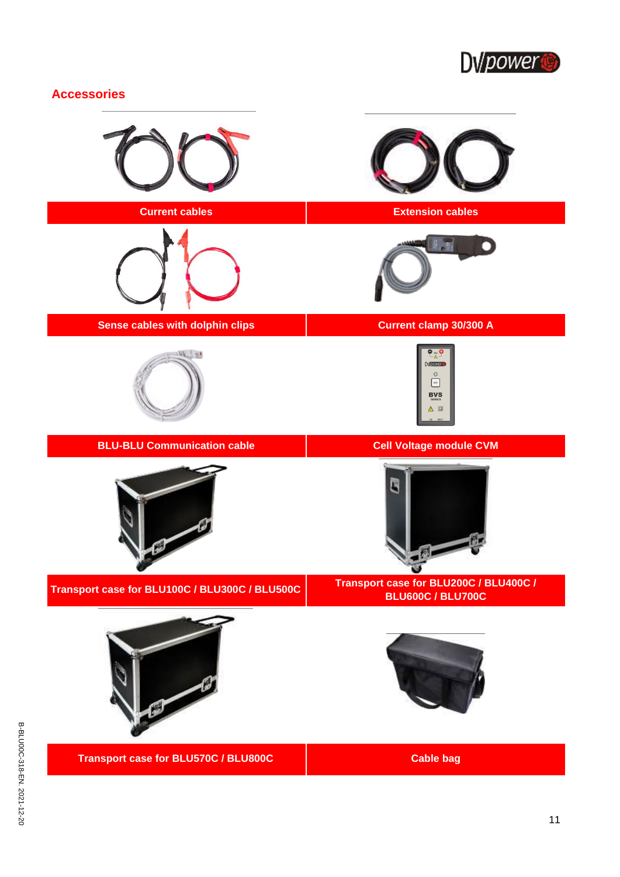

## **Accessories**